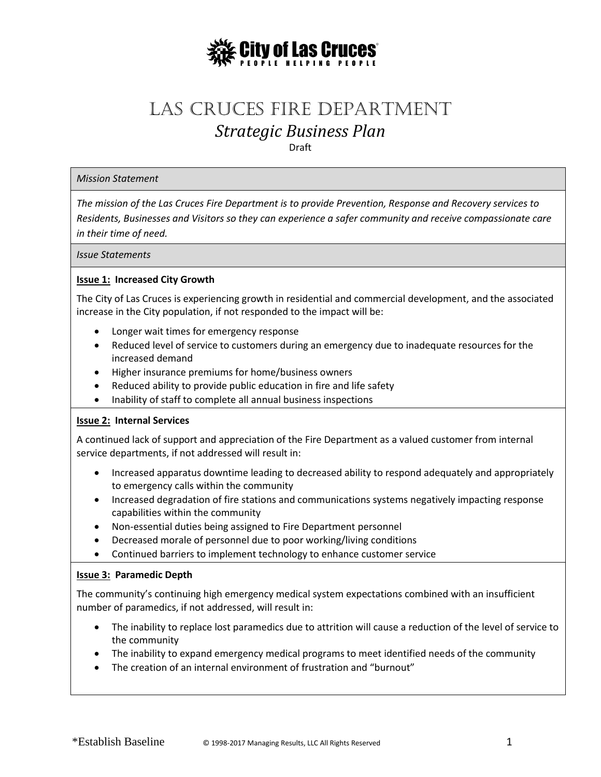

# Las Cruces Fire Department *Strategic Business Plan*

Draft

#### *Mission Statement*

*The mission of the Las Cruces Fire Department is to provide Prevention, Response and Recovery services to Residents, Businesses and Visitors so they can experience a safer community and receive compassionate care in their time of need.*

*Issue Statements*

# **Issue 1: Increased City Growth**

The City of Las Cruces is experiencing growth in residential and commercial development, and the associated increase in the City population, if not responded to the impact will be:

- Longer wait times for emergency response
- Reduced level of service to customers during an emergency due to inadequate resources for the increased demand
- Higher insurance premiums for home/business owners
- Reduced ability to provide public education in fire and life safety
- Inability of staff to complete all annual business inspections

#### **Issue 2: Internal Services**

A continued lack of support and appreciation of the Fire Department as a valued customer from internal service departments, if not addressed will result in:

- Increased apparatus downtime leading to decreased ability to respond adequately and appropriately to emergency calls within the community
- Increased degradation of fire stations and communications systems negatively impacting response capabilities within the community
- Non-essential duties being assigned to Fire Department personnel
- Decreased morale of personnel due to poor working/living conditions
- Continued barriers to implement technology to enhance customer service

#### **Issue 3: Paramedic Depth**

The community's continuing high emergency medical system expectations combined with an insufficient number of paramedics, if not addressed, will result in:

- The inability to replace lost paramedics due to attrition will cause a reduction of the level of service to the community
- The inability to expand emergency medical programs to meet identified needs of the community
- The creation of an internal environment of frustration and "burnout"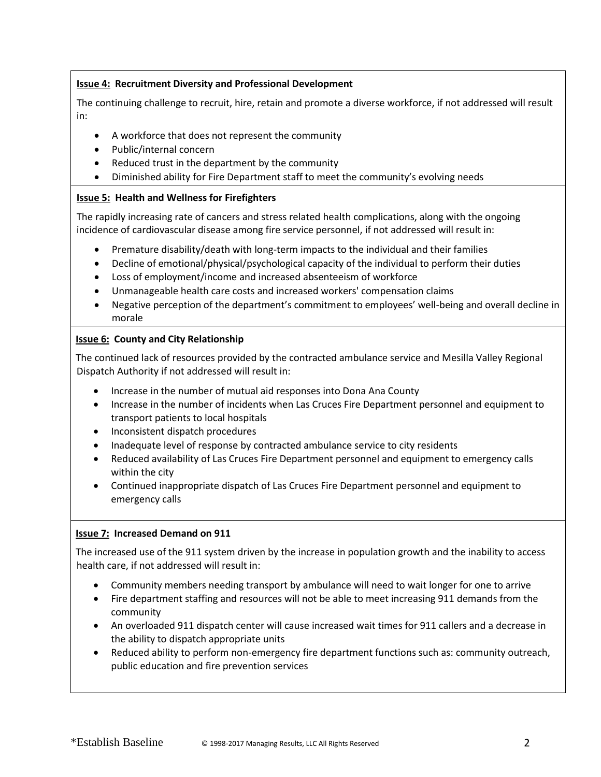# **Issue 4: Recruitment Diversity and Professional Development**

The continuing challenge to recruit, hire, retain and promote a diverse workforce, if not addressed will result in:

- A workforce that does not represent the community
- Public/internal concern
- Reduced trust in the department by the community
- Diminished ability for Fire Department staff to meet the community's evolving needs

## **Issue 5: Health and Wellness for Firefighters**

The rapidly increasing rate of cancers and stress related health complications, along with the ongoing incidence of cardiovascular disease among fire service personnel, if not addressed will result in:

- Premature disability/death with long-term impacts to the individual and their families
- Decline of emotional/physical/psychological capacity of the individual to perform their duties
- Loss of employment/income and increased absenteeism of workforce
- Unmanageable health care costs and increased workers' compensation claims
- Negative perception of the department's commitment to employees' well-being and overall decline in morale

# **Issue 6: County and City Relationship**

The continued lack of resources provided by the contracted ambulance service and Mesilla Valley Regional Dispatch Authority if not addressed will result in:

- Increase in the number of mutual aid responses into Dona Ana County
- Increase in the number of incidents when Las Cruces Fire Department personnel and equipment to transport patients to local hospitals
- Inconsistent dispatch procedures
- Inadequate level of response by contracted ambulance service to city residents
- Reduced availability of Las Cruces Fire Department personnel and equipment to emergency calls within the city
- Continued inappropriate dispatch of Las Cruces Fire Department personnel and equipment to emergency calls

#### **Issue 7: Increased Demand on 911**

The increased use of the 911 system driven by the increase in population growth and the inability to access health care, if not addressed will result in:

- Community members needing transport by ambulance will need to wait longer for one to arrive
- Fire department staffing and resources will not be able to meet increasing 911 demands from the community
- An overloaded 911 dispatch center will cause increased wait times for 911 callers and a decrease in the ability to dispatch appropriate units
- Reduced ability to perform non-emergency fire department functions such as: community outreach, public education and fire prevention services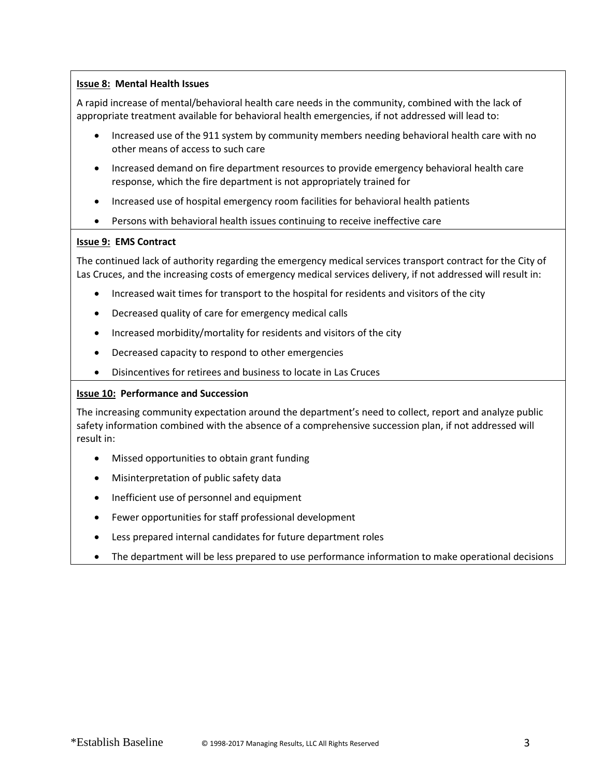# **Issue 8: Mental Health Issues**

A rapid increase of mental/behavioral health care needs in the community, combined with the lack of appropriate treatment available for behavioral health emergencies, if not addressed will lead to:

- Increased use of the 911 system by community members needing behavioral health care with no other means of access to such care
- Increased demand on fire department resources to provide emergency behavioral health care response, which the fire department is not appropriately trained for
- Increased use of hospital emergency room facilities for behavioral health patients
- Persons with behavioral health issues continuing to receive ineffective care

#### **Issue 9: EMS Contract**

The continued lack of authority regarding the emergency medical services transport contract for the City of Las Cruces, and the increasing costs of emergency medical services delivery, if not addressed will result in:

- Increased wait times for transport to the hospital for residents and visitors of the city
- Decreased quality of care for emergency medical calls
- Increased morbidity/mortality for residents and visitors of the city
- Decreased capacity to respond to other emergencies
- Disincentives for retirees and business to locate in Las Cruces

#### **Issue 10: Performance and Succession**

The increasing community expectation around the department's need to collect, report and analyze public safety information combined with the absence of a comprehensive succession plan, if not addressed will result in:

- Missed opportunities to obtain grant funding
- Misinterpretation of public safety data
- Inefficient use of personnel and equipment
- Fewer opportunities for staff professional development
- Less prepared internal candidates for future department roles
- The department will be less prepared to use performance information to make operational decisions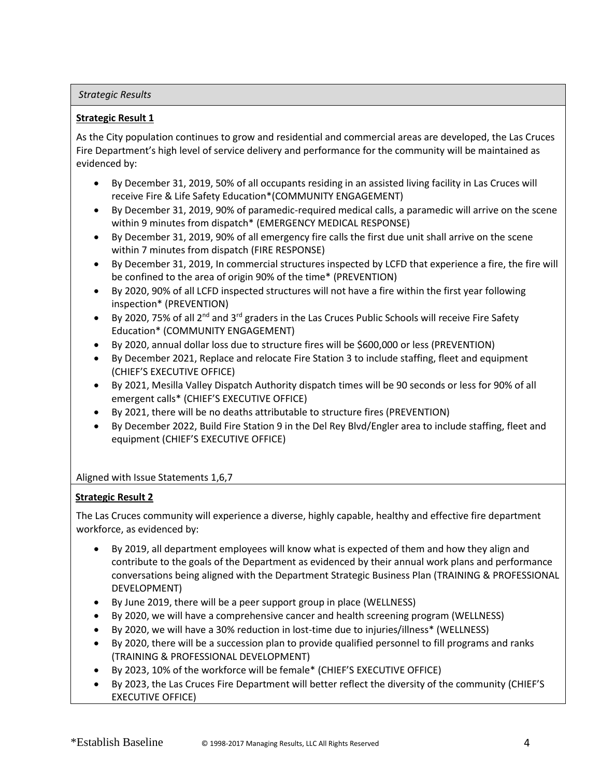#### *Strategic Results*

# **Strategic Result 1**

As the City population continues to grow and residential and commercial areas are developed, the Las Cruces Fire Department's high level of service delivery and performance for the community will be maintained as evidenced by:

- By December 31, 2019, 50% of all occupants residing in an assisted living facility in Las Cruces will receive Fire & Life Safety Education\*(COMMUNITY ENGAGEMENT)
- By December 31, 2019, 90% of paramedic-required medical calls, a paramedic will arrive on the scene within 9 minutes from dispatch\* (EMERGENCY MEDICAL RESPONSE)
- By December 31, 2019, 90% of all emergency fire calls the first due unit shall arrive on the scene within 7 minutes from dispatch (FIRE RESPONSE)
- By December 31, 2019, In commercial structures inspected by LCFD that experience a fire, the fire will be confined to the area of origin 90% of the time\* (PREVENTION)
- By 2020, 90% of all LCFD inspected structures will not have a fire within the first year following inspection\* (PREVENTION)
- By 2020, 75% of all 2<sup>nd</sup> and 3<sup>rd</sup> graders in the Las Cruces Public Schools will receive Fire Safety Education\* (COMMUNITY ENGAGEMENT)
- By 2020, annual dollar loss due to structure fires will be \$600,000 or less (PREVENTION)
- By December 2021, Replace and relocate Fire Station 3 to include staffing, fleet and equipment (CHIEF'S EXECUTIVE OFFICE)
- By 2021, Mesilla Valley Dispatch Authority dispatch times will be 90 seconds or less for 90% of all emergent calls\* (CHIEF'S EXECUTIVE OFFICE)
- By 2021, there will be no deaths attributable to structure fires (PREVENTION)
- By December 2022, Build Fire Station 9 in the Del Rey Blvd/Engler area to include staffing, fleet and equipment (CHIEF'S EXECUTIVE OFFICE)

# Aligned with Issue Statements 1,6,7

# **Strategic Result 2**

The Las Cruces community will experience a diverse, highly capable, healthy and effective fire department workforce, as evidenced by:

- By 2019, all department employees will know what is expected of them and how they align and contribute to the goals of the Department as evidenced by their annual work plans and performance conversations being aligned with the Department Strategic Business Plan (TRAINING & PROFESSIONAL DEVELOPMENT)
- By June 2019, there will be a peer support group in place (WELLNESS)
- By 2020, we will have a comprehensive cancer and health screening program (WELLNESS)
- By 2020, we will have a 30% reduction in lost-time due to injuries/illness\* (WELLNESS)
- By 2020, there will be a succession plan to provide qualified personnel to fill programs and ranks (TRAINING & PROFESSIONAL DEVELOPMENT)
- By 2023, 10% of the workforce will be female\* (CHIEF'S EXECUTIVE OFFICE)
- By 2023, the Las Cruces Fire Department will better reflect the diversity of the community (CHIEF'S EXECUTIVE OFFICE)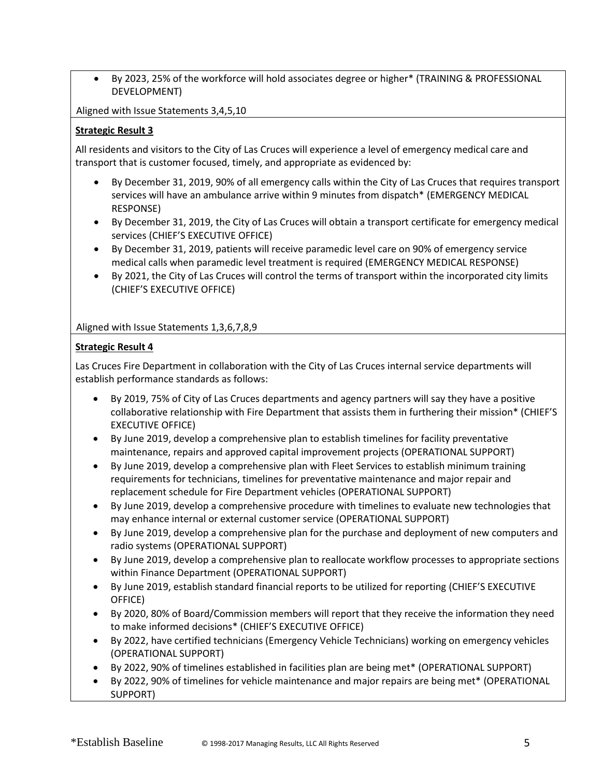• By 2023, 25% of the workforce will hold associates degree or higher\* (TRAINING & PROFESSIONAL DEVELOPMENT)

Aligned with Issue Statements 3,4,5,10

# **Strategic Result 3**

All residents and visitors to the City of Las Cruces will experience a level of emergency medical care and transport that is customer focused, timely, and appropriate as evidenced by:

- By December 31, 2019, 90% of all emergency calls within the City of Las Cruces that requires transport services will have an ambulance arrive within 9 minutes from dispatch\* (EMERGENCY MEDICAL RESPONSE)
- By December 31, 2019, the City of Las Cruces will obtain a transport certificate for emergency medical services (CHIEF'S EXECUTIVE OFFICE)
- By December 31, 2019, patients will receive paramedic level care on 90% of emergency service medical calls when paramedic level treatment is required (EMERGENCY MEDICAL RESPONSE)
- By 2021, the City of Las Cruces will control the terms of transport within the incorporated city limits (CHIEF'S EXECUTIVE OFFICE)

Aligned with Issue Statements 1,3,6,7,8,9

# **Strategic Result 4**

Las Cruces Fire Department in collaboration with the City of Las Cruces internal service departments will establish performance standards as follows:

- By 2019, 75% of City of Las Cruces departments and agency partners will say they have a positive collaborative relationship with Fire Department that assists them in furthering their mission\* (CHIEF'S EXECUTIVE OFFICE)
- By June 2019, develop a comprehensive plan to establish timelines for facility preventative maintenance, repairs and approved capital improvement projects (OPERATIONAL SUPPORT)
- By June 2019, develop a comprehensive plan with Fleet Services to establish minimum training requirements for technicians, timelines for preventative maintenance and major repair and replacement schedule for Fire Department vehicles (OPERATIONAL SUPPORT)
- By June 2019, develop a comprehensive procedure with timelines to evaluate new technologies that may enhance internal or external customer service (OPERATIONAL SUPPORT)
- By June 2019, develop a comprehensive plan for the purchase and deployment of new computers and radio systems (OPERATIONAL SUPPORT)
- By June 2019, develop a comprehensive plan to reallocate workflow processes to appropriate sections within Finance Department (OPERATIONAL SUPPORT)
- By June 2019, establish standard financial reports to be utilized for reporting (CHIEF'S EXECUTIVE OFFICE)
- By 2020, 80% of Board/Commission members will report that they receive the information they need to make informed decisions\* (CHIEF'S EXECUTIVE OFFICE)
- By 2022, have certified technicians (Emergency Vehicle Technicians) working on emergency vehicles (OPERATIONAL SUPPORT)
- By 2022, 90% of timelines established in facilities plan are being met\* (OPERATIONAL SUPPORT)
- By 2022, 90% of timelines for vehicle maintenance and major repairs are being met\* (OPERATIONAL SUPPORT)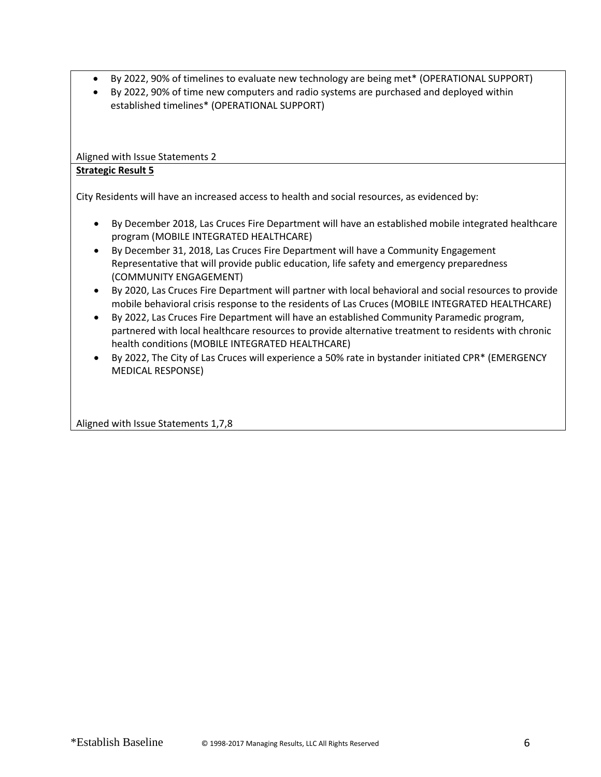- By 2022, 90% of timelines to evaluate new technology are being met\* (OPERATIONAL SUPPORT)
- By 2022, 90% of time new computers and radio systems are purchased and deployed within established timelines\* (OPERATIONAL SUPPORT)

Aligned with Issue Statements 2

# **Strategic Result 5**

City Residents will have an increased access to health and social resources, as evidenced by:

- By December 2018, Las Cruces Fire Department will have an established mobile integrated healthcare program (MOBILE INTEGRATED HEALTHCARE)
- By December 31, 2018, Las Cruces Fire Department will have a Community Engagement Representative that will provide public education, life safety and emergency preparedness (COMMUNITY ENGAGEMENT)
- By 2020, Las Cruces Fire Department will partner with local behavioral and social resources to provide mobile behavioral crisis response to the residents of Las Cruces (MOBILE INTEGRATED HEALTHCARE)
- By 2022, Las Cruces Fire Department will have an established Community Paramedic program, partnered with local healthcare resources to provide alternative treatment to residents with chronic health conditions (MOBILE INTEGRATED HEALTHCARE)
- By 2022, The City of Las Cruces will experience a 50% rate in bystander initiated CPR\* (EMERGENCY MEDICAL RESPONSE)

Aligned with Issue Statements 1,7,8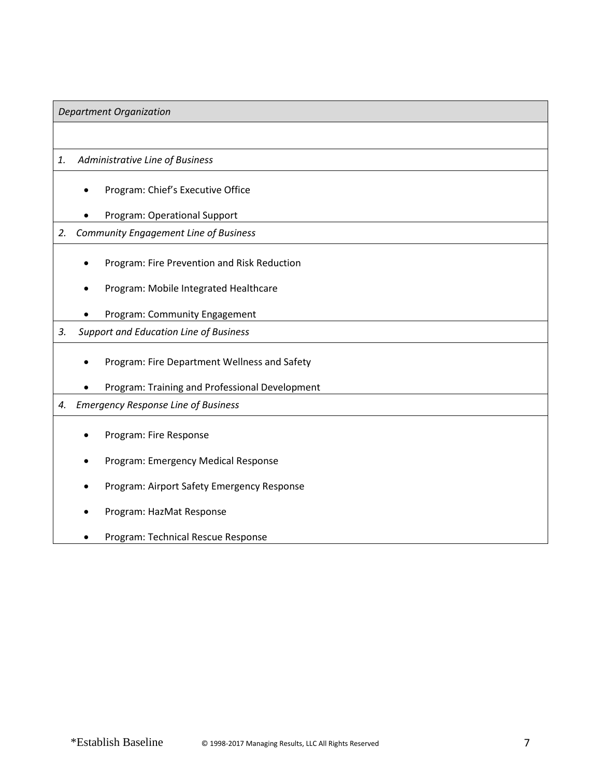# *Department Organization*

# *1. Administrative Line of Business*

- Program: Chief's Executive Office
- Program: Operational Support

# *2. Community Engagement Line of Business*

- Program: Fire Prevention and Risk Reduction
- Program: Mobile Integrated Healthcare
- Program: Community Engagement

# *3. Support and Education Line of Business*

- Program: Fire Department Wellness and Safety
- Program: Training and Professional Development

## *4. Emergency Response Line of Business*

- Program: Fire Response
- Program: Emergency Medical Response
- Program: Airport Safety Emergency Response
- Program: HazMat Response
- Program: Technical Rescue Response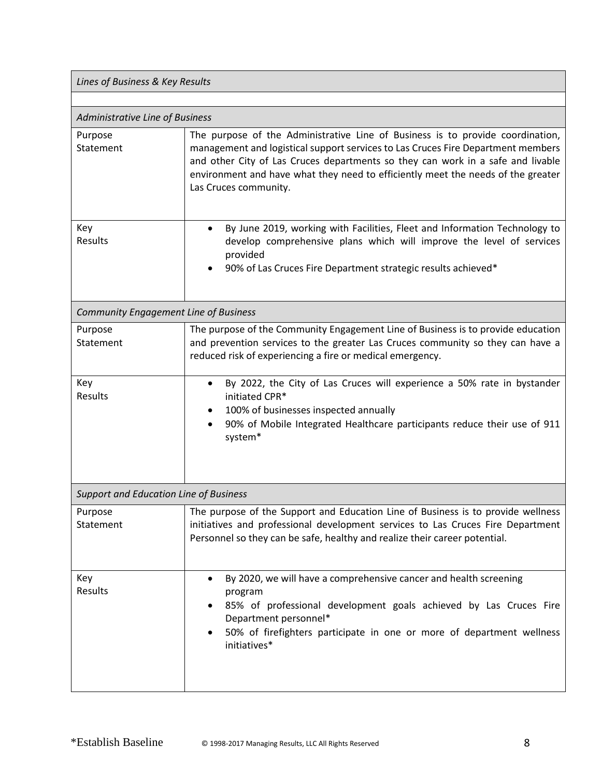| Lines of Business & Key Results               |                                                                                                                                                                                                                                                                                                                                                                    |
|-----------------------------------------------|--------------------------------------------------------------------------------------------------------------------------------------------------------------------------------------------------------------------------------------------------------------------------------------------------------------------------------------------------------------------|
|                                               |                                                                                                                                                                                                                                                                                                                                                                    |
| Administrative Line of Business               |                                                                                                                                                                                                                                                                                                                                                                    |
| Purpose<br>Statement                          | The purpose of the Administrative Line of Business is to provide coordination,<br>management and logistical support services to Las Cruces Fire Department members<br>and other City of Las Cruces departments so they can work in a safe and livable<br>environment and have what they need to efficiently meet the needs of the greater<br>Las Cruces community. |
| Key<br>Results                                | By June 2019, working with Facilities, Fleet and Information Technology to<br>$\bullet$<br>develop comprehensive plans which will improve the level of services<br>provided<br>90% of Las Cruces Fire Department strategic results achieved*                                                                                                                       |
| <b>Community Engagement Line of Business</b>  |                                                                                                                                                                                                                                                                                                                                                                    |
| Purpose<br>Statement                          | The purpose of the Community Engagement Line of Business is to provide education<br>and prevention services to the greater Las Cruces community so they can have a<br>reduced risk of experiencing a fire or medical emergency.                                                                                                                                    |
| Key<br>Results                                | By 2022, the City of Las Cruces will experience a 50% rate in bystander<br>$\bullet$<br>initiated CPR*<br>100% of businesses inspected annually<br>90% of Mobile Integrated Healthcare participants reduce their use of 911<br>$\bullet$<br>system*                                                                                                                |
| <b>Support and Education Line of Business</b> |                                                                                                                                                                                                                                                                                                                                                                    |
| Purpose<br>Statement                          | The purpose of the Support and Education Line of Business is to provide wellness<br>initiatives and professional development services to Las Cruces Fire Department<br>Personnel so they can be safe, healthy and realize their career potential.                                                                                                                  |
| Key<br>Results                                | By 2020, we will have a comprehensive cancer and health screening<br>program<br>85% of professional development goals achieved by Las Cruces Fire<br>Department personnel*<br>50% of firefighters participate in one or more of department wellness<br>initiatives*                                                                                                |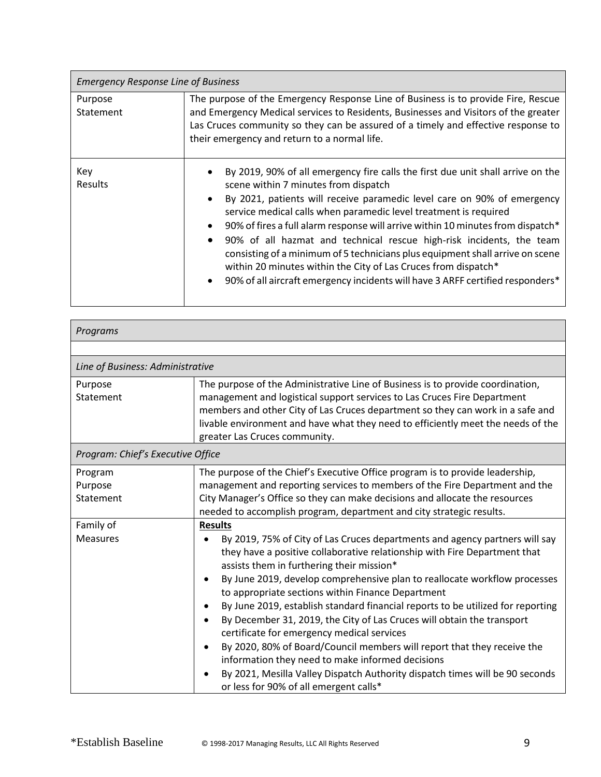| <b>Emergency Response Line of Business</b> |                                                                                                                                                                                                                                                                                                                                                                                                                                                                                                                                                                                                                                                                        |
|--------------------------------------------|------------------------------------------------------------------------------------------------------------------------------------------------------------------------------------------------------------------------------------------------------------------------------------------------------------------------------------------------------------------------------------------------------------------------------------------------------------------------------------------------------------------------------------------------------------------------------------------------------------------------------------------------------------------------|
| Purpose<br>Statement                       | The purpose of the Emergency Response Line of Business is to provide Fire, Rescue<br>and Emergency Medical services to Residents, Businesses and Visitors of the greater<br>Las Cruces community so they can be assured of a timely and effective response to<br>their emergency and return to a normal life.                                                                                                                                                                                                                                                                                                                                                          |
| Key<br><b>Results</b>                      | By 2019, 90% of all emergency fire calls the first due unit shall arrive on the<br>scene within 7 minutes from dispatch<br>By 2021, patients will receive paramedic level care on 90% of emergency<br>service medical calls when paramedic level treatment is required<br>90% of fires a full alarm response will arrive within 10 minutes from dispatch*<br>90% of all hazmat and technical rescue high-risk incidents, the team<br>consisting of a minimum of 5 technicians plus equipment shall arrive on scene<br>within 20 minutes within the City of Las Cruces from dispatch*<br>90% of all aircraft emergency incidents will have 3 ARFF certified responders* |

| Programs                          |                                                                                                                                                                                                                                                                                                                                                                   |
|-----------------------------------|-------------------------------------------------------------------------------------------------------------------------------------------------------------------------------------------------------------------------------------------------------------------------------------------------------------------------------------------------------------------|
|                                   |                                                                                                                                                                                                                                                                                                                                                                   |
| Line of Business: Administrative  |                                                                                                                                                                                                                                                                                                                                                                   |
| Purpose<br>Statement              | The purpose of the Administrative Line of Business is to provide coordination,<br>management and logistical support services to Las Cruces Fire Department<br>members and other City of Las Cruces department so they can work in a safe and<br>livable environment and have what they need to efficiently meet the needs of the<br>greater Las Cruces community. |
| Program: Chief's Executive Office |                                                                                                                                                                                                                                                                                                                                                                   |
| Program                           | The purpose of the Chief's Executive Office program is to provide leadership,                                                                                                                                                                                                                                                                                     |
| Purpose                           | management and reporting services to members of the Fire Department and the                                                                                                                                                                                                                                                                                       |
| Statement                         | City Manager's Office so they can make decisions and allocate the resources                                                                                                                                                                                                                                                                                       |
|                                   | needed to accomplish program, department and city strategic results.                                                                                                                                                                                                                                                                                              |
| Family of                         | <b>Results</b>                                                                                                                                                                                                                                                                                                                                                    |
| <b>Measures</b>                   | By 2019, 75% of City of Las Cruces departments and agency partners will say<br>$\bullet$<br>they have a positive collaborative relationship with Fire Department that<br>assists them in furthering their mission*                                                                                                                                                |
|                                   | By June 2019, develop comprehensive plan to reallocate workflow processes<br>$\bullet$<br>to appropriate sections within Finance Department                                                                                                                                                                                                                       |
|                                   | By June 2019, establish standard financial reports to be utilized for reporting                                                                                                                                                                                                                                                                                   |
|                                   | By December 31, 2019, the City of Las Cruces will obtain the transport<br>$\bullet$<br>certificate for emergency medical services                                                                                                                                                                                                                                 |
|                                   | By 2020, 80% of Board/Council members will report that they receive the<br>$\bullet$<br>information they need to make informed decisions                                                                                                                                                                                                                          |
|                                   | By 2021, Mesilla Valley Dispatch Authority dispatch times will be 90 seconds<br>$\bullet$<br>or less for 90% of all emergent calls*                                                                                                                                                                                                                               |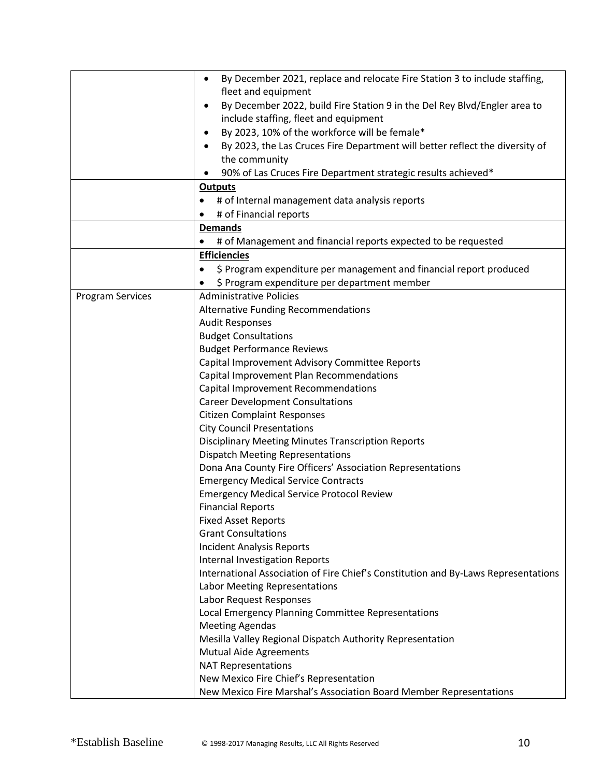|                         | By December 2021, replace and relocate Fire Station 3 to include staffing,<br>$\bullet$   |
|-------------------------|-------------------------------------------------------------------------------------------|
|                         | fleet and equipment                                                                       |
|                         | By December 2022, build Fire Station 9 in the Del Rey Blvd/Engler area to<br>٠            |
|                         | include staffing, fleet and equipment                                                     |
|                         | By 2023, 10% of the workforce will be female*<br>٠                                        |
|                         | By 2023, the Las Cruces Fire Department will better reflect the diversity of<br>$\bullet$ |
|                         | the community                                                                             |
|                         | 90% of Las Cruces Fire Department strategic results achieved*                             |
|                         | <b>Outputs</b>                                                                            |
|                         | # of Internal management data analysis reports                                            |
|                         | # of Financial reports                                                                    |
|                         | <b>Demands</b>                                                                            |
|                         | # of Management and financial reports expected to be requested                            |
|                         | <b>Efficiencies</b>                                                                       |
|                         | \$ Program expenditure per management and financial report produced<br>$\bullet$          |
|                         | \$ Program expenditure per department member                                              |
| <b>Program Services</b> | <b>Administrative Policies</b>                                                            |
|                         | Alternative Funding Recommendations                                                       |
|                         | <b>Audit Responses</b>                                                                    |
|                         | <b>Budget Consultations</b>                                                               |
|                         | <b>Budget Performance Reviews</b>                                                         |
|                         | Capital Improvement Advisory Committee Reports                                            |
|                         | Capital Improvement Plan Recommendations                                                  |
|                         | Capital Improvement Recommendations                                                       |
|                         | <b>Career Development Consultations</b>                                                   |
|                         | <b>Citizen Complaint Responses</b>                                                        |
|                         | <b>City Council Presentations</b>                                                         |
|                         | <b>Disciplinary Meeting Minutes Transcription Reports</b>                                 |
|                         | <b>Dispatch Meeting Representations</b>                                                   |
|                         | Dona Ana County Fire Officers' Association Representations                                |
|                         | <b>Emergency Medical Service Contracts</b>                                                |
|                         | <b>Emergency Medical Service Protocol Review</b>                                          |
|                         | <b>Financial Reports</b>                                                                  |
|                         | <b>Fixed Asset Reports</b><br><b>Grant Consultations</b>                                  |
|                         | <b>Incident Analysis Reports</b>                                                          |
|                         | Internal Investigation Reports                                                            |
|                         | International Association of Fire Chief's Constitution and By-Laws Representations        |
|                         | Labor Meeting Representations                                                             |
|                         | Labor Request Responses                                                                   |
|                         | Local Emergency Planning Committee Representations                                        |
|                         | <b>Meeting Agendas</b>                                                                    |
|                         | Mesilla Valley Regional Dispatch Authority Representation                                 |
|                         | <b>Mutual Aide Agreements</b>                                                             |
|                         | <b>NAT Representations</b>                                                                |
|                         | New Mexico Fire Chief's Representation                                                    |
|                         | New Mexico Fire Marshal's Association Board Member Representations                        |
|                         |                                                                                           |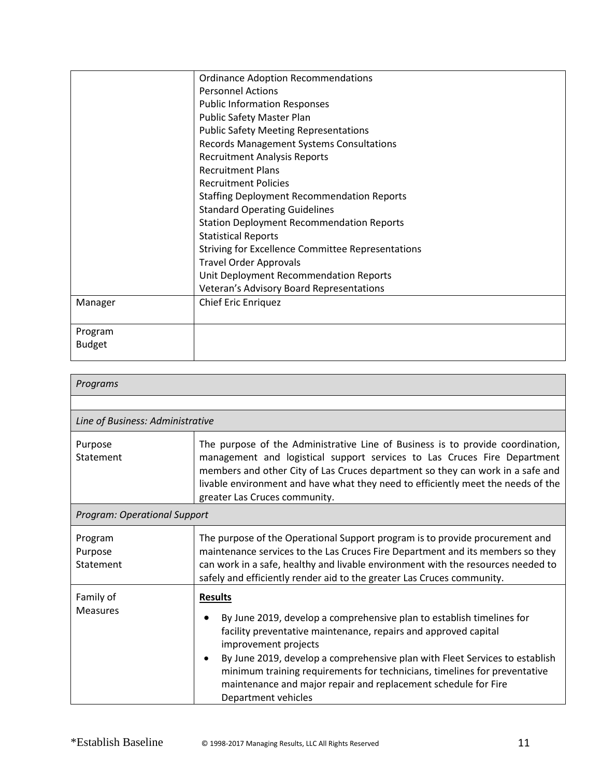|               | <b>Ordinance Adoption Recommendations</b>                |
|---------------|----------------------------------------------------------|
|               | <b>Personnel Actions</b>                                 |
|               | <b>Public Information Responses</b>                      |
|               | Public Safety Master Plan                                |
|               | <b>Public Safety Meeting Representations</b>             |
|               | <b>Records Management Systems Consultations</b>          |
|               | <b>Recruitment Analysis Reports</b>                      |
|               | <b>Recruitment Plans</b>                                 |
|               | <b>Recruitment Policies</b>                              |
|               | <b>Staffing Deployment Recommendation Reports</b>        |
|               | <b>Standard Operating Guidelines</b>                     |
|               | <b>Station Deployment Recommendation Reports</b>         |
|               | <b>Statistical Reports</b>                               |
|               | <b>Striving for Excellence Committee Representations</b> |
|               | <b>Travel Order Approvals</b>                            |
|               | Unit Deployment Recommendation Reports                   |
|               | Veteran's Advisory Board Representations                 |
| Manager       | <b>Chief Eric Enriquez</b>                               |
|               |                                                          |
| Program       |                                                          |
| <b>Budget</b> |                                                          |
|               |                                                          |

| Programs                            |                                                                                                                                                                                                                                                                                                                                                                                                                                                           |
|-------------------------------------|-----------------------------------------------------------------------------------------------------------------------------------------------------------------------------------------------------------------------------------------------------------------------------------------------------------------------------------------------------------------------------------------------------------------------------------------------------------|
|                                     |                                                                                                                                                                                                                                                                                                                                                                                                                                                           |
| Line of Business: Administrative    |                                                                                                                                                                                                                                                                                                                                                                                                                                                           |
| Purpose<br>Statement                | The purpose of the Administrative Line of Business is to provide coordination,<br>management and logistical support services to Las Cruces Fire Department<br>members and other City of Las Cruces department so they can work in a safe and<br>livable environment and have what they need to efficiently meet the needs of the<br>greater Las Cruces community.                                                                                         |
| <b>Program: Operational Support</b> |                                                                                                                                                                                                                                                                                                                                                                                                                                                           |
| Program<br>Purpose<br>Statement     | The purpose of the Operational Support program is to provide procurement and<br>maintenance services to the Las Cruces Fire Department and its members so they<br>can work in a safe, healthy and livable environment with the resources needed to<br>safely and efficiently render aid to the greater Las Cruces community.                                                                                                                              |
| Family of<br><b>Measures</b>        | <b>Results</b><br>By June 2019, develop a comprehensive plan to establish timelines for<br>٠<br>facility preventative maintenance, repairs and approved capital<br>improvement projects<br>By June 2019, develop a comprehensive plan with Fleet Services to establish<br>$\bullet$<br>minimum training requirements for technicians, timelines for preventative<br>maintenance and major repair and replacement schedule for Fire<br>Department vehicles |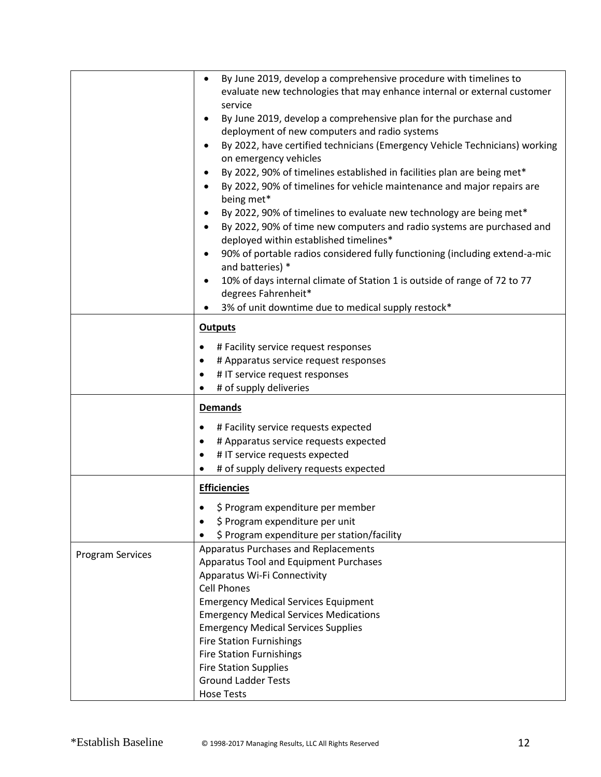|                         | By June 2019, develop a comprehensive procedure with timelines to<br>evaluate new technologies that may enhance internal or external customer<br>service<br>By June 2019, develop a comprehensive plan for the purchase and<br>٠<br>deployment of new computers and radio systems<br>By 2022, have certified technicians (Emergency Vehicle Technicians) working<br>$\bullet$<br>on emergency vehicles<br>By 2022, 90% of timelines established in facilities plan are being met*<br>٠<br>By 2022, 90% of timelines for vehicle maintenance and major repairs are<br>$\bullet$<br>being met*<br>By 2022, 90% of timelines to evaluate new technology are being met*<br>٠<br>By 2022, 90% of time new computers and radio systems are purchased and<br>$\bullet$<br>deployed within established timelines*<br>90% of portable radios considered fully functioning (including extend-a-mic<br>$\bullet$<br>and batteries) *<br>10% of days internal climate of Station 1 is outside of range of 72 to 77<br>$\bullet$ |
|-------------------------|---------------------------------------------------------------------------------------------------------------------------------------------------------------------------------------------------------------------------------------------------------------------------------------------------------------------------------------------------------------------------------------------------------------------------------------------------------------------------------------------------------------------------------------------------------------------------------------------------------------------------------------------------------------------------------------------------------------------------------------------------------------------------------------------------------------------------------------------------------------------------------------------------------------------------------------------------------------------------------------------------------------------|
|                         | degrees Fahrenheit*<br>3% of unit downtime due to medical supply restock*                                                                                                                                                                                                                                                                                                                                                                                                                                                                                                                                                                                                                                                                                                                                                                                                                                                                                                                                           |
|                         | <b>Outputs</b>                                                                                                                                                                                                                                                                                                                                                                                                                                                                                                                                                                                                                                                                                                                                                                                                                                                                                                                                                                                                      |
|                         | # Facility service request responses<br>٠<br># Apparatus service request responses<br># IT service request responses<br># of supply deliveries                                                                                                                                                                                                                                                                                                                                                                                                                                                                                                                                                                                                                                                                                                                                                                                                                                                                      |
|                         | <b>Demands</b>                                                                                                                                                                                                                                                                                                                                                                                                                                                                                                                                                                                                                                                                                                                                                                                                                                                                                                                                                                                                      |
|                         | # Facility service requests expected<br>٠<br># Apparatus service requests expected<br>$\bullet$<br># IT service requests expected<br># of supply delivery requests expected                                                                                                                                                                                                                                                                                                                                                                                                                                                                                                                                                                                                                                                                                                                                                                                                                                         |
|                         | <b>Efficiencies</b>                                                                                                                                                                                                                                                                                                                                                                                                                                                                                                                                                                                                                                                                                                                                                                                                                                                                                                                                                                                                 |
|                         | \$ Program expenditure per member<br>\$ Program expenditure per unit<br>\$ Program expenditure per station/facility                                                                                                                                                                                                                                                                                                                                                                                                                                                                                                                                                                                                                                                                                                                                                                                                                                                                                                 |
| <b>Program Services</b> | Apparatus Purchases and Replacements<br>Apparatus Tool and Equipment Purchases<br>Apparatus Wi-Fi Connectivity<br><b>Cell Phones</b><br><b>Emergency Medical Services Equipment</b><br><b>Emergency Medical Services Medications</b><br><b>Emergency Medical Services Supplies</b><br><b>Fire Station Furnishings</b><br><b>Fire Station Furnishings</b><br><b>Fire Station Supplies</b><br><b>Ground Ladder Tests</b><br><b>Hose Tests</b>                                                                                                                                                                                                                                                                                                                                                                                                                                                                                                                                                                         |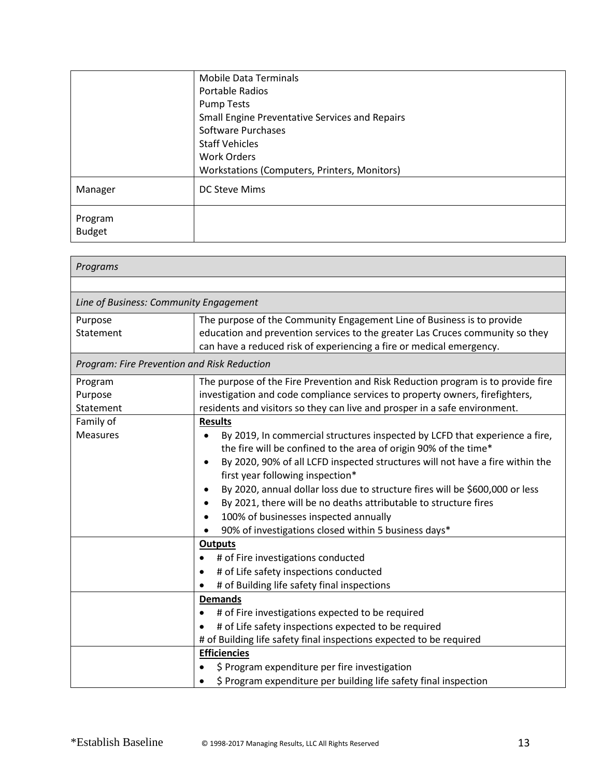|                          | <b>Mobile Data Terminals</b>                          |
|--------------------------|-------------------------------------------------------|
|                          | Portable Radios                                       |
|                          | <b>Pump Tests</b>                                     |
|                          | <b>Small Engine Preventative Services and Repairs</b> |
|                          | Software Purchases                                    |
|                          | <b>Staff Vehicles</b>                                 |
|                          | Work Orders                                           |
|                          | Workstations (Computers, Printers, Monitors)          |
| Manager                  | <b>DC Steve Mims</b>                                  |
| Program<br><b>Budget</b> |                                                       |

| Programs                                    |                                                                                                                                                                                                                                                                                                                                                                                                                                                                                                                                                                  |
|---------------------------------------------|------------------------------------------------------------------------------------------------------------------------------------------------------------------------------------------------------------------------------------------------------------------------------------------------------------------------------------------------------------------------------------------------------------------------------------------------------------------------------------------------------------------------------------------------------------------|
|                                             |                                                                                                                                                                                                                                                                                                                                                                                                                                                                                                                                                                  |
| Line of Business: Community Engagement      |                                                                                                                                                                                                                                                                                                                                                                                                                                                                                                                                                                  |
| Purpose<br>Statement                        | The purpose of the Community Engagement Line of Business is to provide<br>education and prevention services to the greater Las Cruces community so they<br>can have a reduced risk of experiencing a fire or medical emergency.                                                                                                                                                                                                                                                                                                                                  |
| Program: Fire Prevention and Risk Reduction |                                                                                                                                                                                                                                                                                                                                                                                                                                                                                                                                                                  |
| Program<br>Purpose<br>Statement             | The purpose of the Fire Prevention and Risk Reduction program is to provide fire<br>investigation and code compliance services to property owners, firefighters,<br>residents and visitors so they can live and prosper in a safe environment.                                                                                                                                                                                                                                                                                                                   |
| Family of                                   | <b>Results</b>                                                                                                                                                                                                                                                                                                                                                                                                                                                                                                                                                   |
| <b>Measures</b>                             | By 2019, In commercial structures inspected by LCFD that experience a fire,<br>$\bullet$<br>the fire will be confined to the area of origin 90% of the time*<br>By 2020, 90% of all LCFD inspected structures will not have a fire within the<br>$\bullet$<br>first year following inspection*<br>By 2020, annual dollar loss due to structure fires will be \$600,000 or less<br>$\bullet$<br>By 2021, there will be no deaths attributable to structure fires<br>100% of businesses inspected annually<br>90% of investigations closed within 5 business days* |
|                                             | <b>Outputs</b>                                                                                                                                                                                                                                                                                                                                                                                                                                                                                                                                                   |
|                                             | # of Fire investigations conducted<br>$\bullet$<br># of Life safety inspections conducted<br>$\bullet$<br># of Building life safety final inspections                                                                                                                                                                                                                                                                                                                                                                                                            |
|                                             | <b>Demands</b>                                                                                                                                                                                                                                                                                                                                                                                                                                                                                                                                                   |
|                                             | # of Fire investigations expected to be required<br># of Life safety inspections expected to be required<br>$\bullet$<br># of Building life safety final inspections expected to be required                                                                                                                                                                                                                                                                                                                                                                     |
|                                             | <b>Efficiencies</b>                                                                                                                                                                                                                                                                                                                                                                                                                                                                                                                                              |
|                                             | \$ Program expenditure per fire investigation<br>\$ Program expenditure per building life safety final inspection                                                                                                                                                                                                                                                                                                                                                                                                                                                |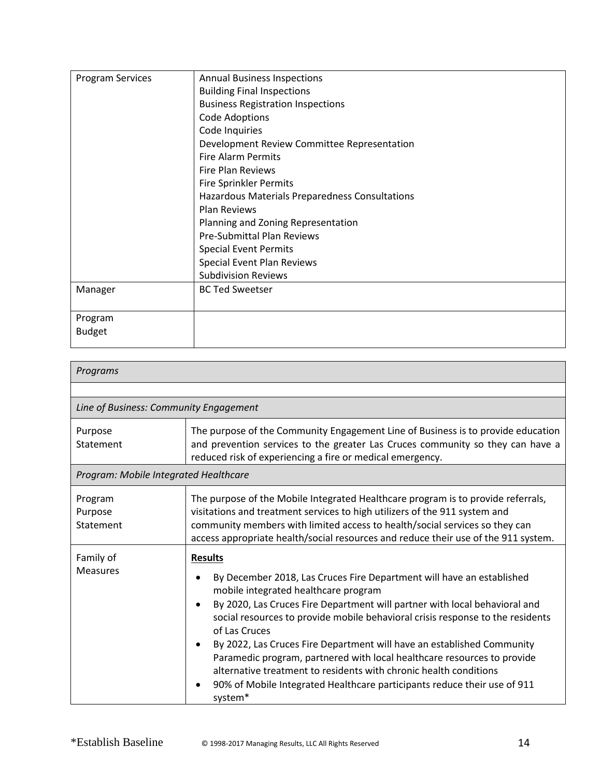| <b>Program Services</b> | <b>Annual Business Inspections</b>             |
|-------------------------|------------------------------------------------|
|                         | <b>Building Final Inspections</b>              |
|                         | <b>Business Registration Inspections</b>       |
|                         | <b>Code Adoptions</b>                          |
|                         | Code Inquiries                                 |
|                         | Development Review Committee Representation    |
|                         | <b>Fire Alarm Permits</b>                      |
|                         | <b>Fire Plan Reviews</b>                       |
|                         | <b>Fire Sprinkler Permits</b>                  |
|                         | Hazardous Materials Preparedness Consultations |
|                         | <b>Plan Reviews</b>                            |
|                         | Planning and Zoning Representation             |
|                         | <b>Pre-Submittal Plan Reviews</b>              |
|                         | <b>Special Event Permits</b>                   |
|                         | Special Event Plan Reviews                     |
|                         | <b>Subdivision Reviews</b>                     |
| Manager                 | <b>BC Ted Sweetser</b>                         |
|                         |                                                |
| Program                 |                                                |
| <b>Budget</b>           |                                                |
|                         |                                                |

| Programs                               |                                                                                                                                                                                                                                                                                                                                                                                                                                                                                                                                                                                                                                                             |
|----------------------------------------|-------------------------------------------------------------------------------------------------------------------------------------------------------------------------------------------------------------------------------------------------------------------------------------------------------------------------------------------------------------------------------------------------------------------------------------------------------------------------------------------------------------------------------------------------------------------------------------------------------------------------------------------------------------|
|                                        |                                                                                                                                                                                                                                                                                                                                                                                                                                                                                                                                                                                                                                                             |
| Line of Business: Community Engagement |                                                                                                                                                                                                                                                                                                                                                                                                                                                                                                                                                                                                                                                             |
| Purpose<br>Statement                   | The purpose of the Community Engagement Line of Business is to provide education<br>and prevention services to the greater Las Cruces community so they can have a<br>reduced risk of experiencing a fire or medical emergency.                                                                                                                                                                                                                                                                                                                                                                                                                             |
| Program: Mobile Integrated Healthcare  |                                                                                                                                                                                                                                                                                                                                                                                                                                                                                                                                                                                                                                                             |
| Program<br>Purpose<br>Statement        | The purpose of the Mobile Integrated Healthcare program is to provide referrals,<br>visitations and treatment services to high utilizers of the 911 system and<br>community members with limited access to health/social services so they can<br>access appropriate health/social resources and reduce their use of the 911 system.                                                                                                                                                                                                                                                                                                                         |
| Family of<br><b>Measures</b>           | <b>Results</b><br>By December 2018, Las Cruces Fire Department will have an established<br>mobile integrated healthcare program<br>By 2020, Las Cruces Fire Department will partner with local behavioral and<br>$\bullet$<br>social resources to provide mobile behavioral crisis response to the residents<br>of Las Cruces<br>By 2022, Las Cruces Fire Department will have an established Community<br>$\bullet$<br>Paramedic program, partnered with local healthcare resources to provide<br>alternative treatment to residents with chronic health conditions<br>90% of Mobile Integrated Healthcare participants reduce their use of 911<br>system* |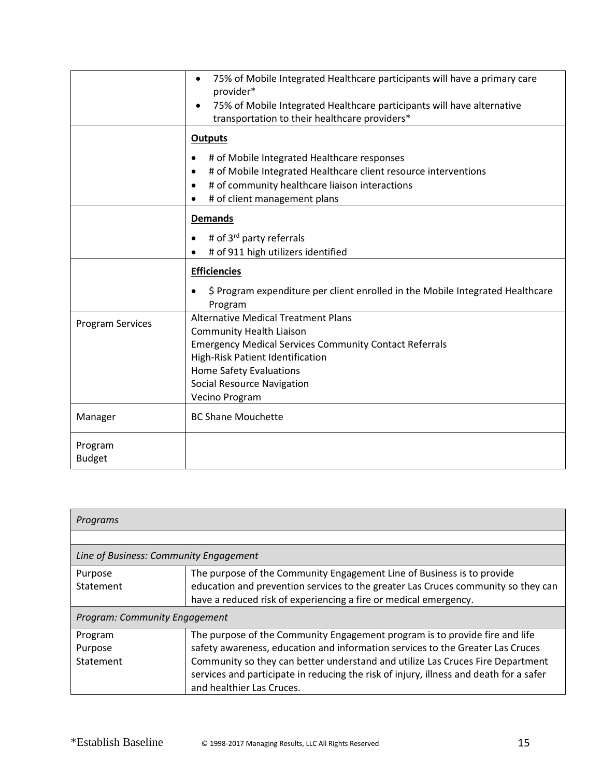|                         | 75% of Mobile Integrated Healthcare participants will have a primary care<br>$\bullet$<br>provider*<br>75% of Mobile Integrated Healthcare participants will have alternative<br>transportation to their healthcare providers* |
|-------------------------|--------------------------------------------------------------------------------------------------------------------------------------------------------------------------------------------------------------------------------|
|                         | <b>Outputs</b>                                                                                                                                                                                                                 |
|                         | $\bullet$                                                                                                                                                                                                                      |
|                         | # of Mobile Integrated Healthcare responses<br># of Mobile Integrated Healthcare client resource interventions<br>$\bullet$                                                                                                    |
|                         | # of community healthcare liaison interactions                                                                                                                                                                                 |
|                         | # of client management plans                                                                                                                                                                                                   |
|                         |                                                                                                                                                                                                                                |
|                         | <b>Demands</b>                                                                                                                                                                                                                 |
|                         | # of 3 <sup>rd</sup> party referrals<br>$\bullet$                                                                                                                                                                              |
|                         | # of 911 high utilizers identified                                                                                                                                                                                             |
|                         | <b>Efficiencies</b>                                                                                                                                                                                                            |
|                         | \$ Program expenditure per client enrolled in the Mobile Integrated Healthcare                                                                                                                                                 |
|                         | Program                                                                                                                                                                                                                        |
| <b>Program Services</b> | <b>Alternative Medical Treatment Plans</b>                                                                                                                                                                                     |
|                         | <b>Community Health Liaison</b>                                                                                                                                                                                                |
|                         | <b>Emergency Medical Services Community Contact Referrals</b>                                                                                                                                                                  |
|                         | High-Risk Patient Identification<br><b>Home Safety Evaluations</b>                                                                                                                                                             |
|                         | <b>Social Resource Navigation</b>                                                                                                                                                                                              |
|                         | Vecino Program                                                                                                                                                                                                                 |
| Manager                 | <b>BC Shane Mouchette</b>                                                                                                                                                                                                      |
|                         |                                                                                                                                                                                                                                |
| Program                 |                                                                                                                                                                                                                                |
| <b>Budget</b>           |                                                                                                                                                                                                                                |

| Programs                               |                                                                                        |  |
|----------------------------------------|----------------------------------------------------------------------------------------|--|
|                                        |                                                                                        |  |
| Line of Business: Community Engagement |                                                                                        |  |
| Purpose                                | The purpose of the Community Engagement Line of Business is to provide                 |  |
| Statement                              | education and prevention services to the greater Las Cruces community so they can      |  |
|                                        | have a reduced risk of experiencing a fire or medical emergency.                       |  |
| Program: Community Engagement          |                                                                                        |  |
| Program                                | The purpose of the Community Engagement program is to provide fire and life            |  |
| Purpose                                | safety awareness, education and information services to the Greater Las Cruces         |  |
| Statement                              | Community so they can better understand and utilize Las Cruces Fire Department         |  |
|                                        | services and participate in reducing the risk of injury, illness and death for a safer |  |
|                                        | and healthier Las Cruces.                                                              |  |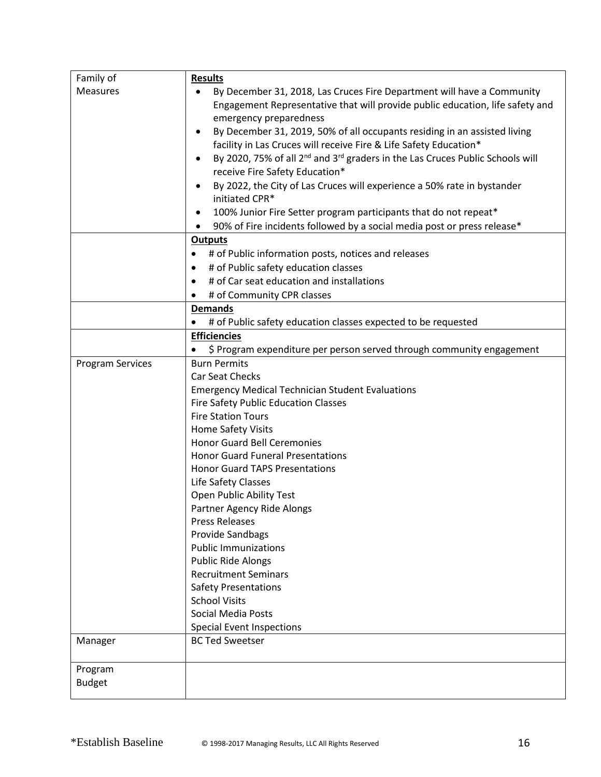| Family of        | <b>Results</b>                                                                                                                                          |
|------------------|---------------------------------------------------------------------------------------------------------------------------------------------------------|
| <b>Measures</b>  | By December 31, 2018, Las Cruces Fire Department will have a Community<br>Engagement Representative that will provide public education, life safety and |
|                  | emergency preparedness                                                                                                                                  |
|                  | By December 31, 2019, 50% of all occupants residing in an assisted living<br>facility in Las Cruces will receive Fire & Life Safety Education*          |
|                  | By 2020, 75% of all 2 <sup>nd</sup> and 3 <sup>rd</sup> graders in the Las Cruces Public Schools will                                                   |
|                  | receive Fire Safety Education*                                                                                                                          |
|                  | By 2022, the City of Las Cruces will experience a 50% rate in bystander<br>$\bullet$                                                                    |
|                  | initiated CPR*                                                                                                                                          |
|                  | 100% Junior Fire Setter program participants that do not repeat*<br>٠                                                                                   |
|                  | 90% of Fire incidents followed by a social media post or press release*                                                                                 |
|                  | <b>Outputs</b>                                                                                                                                          |
|                  | # of Public information posts, notices and releases                                                                                                     |
|                  | # of Public safety education classes<br>$\bullet$                                                                                                       |
|                  | # of Car seat education and installations<br>$\bullet$                                                                                                  |
|                  | # of Community CPR classes                                                                                                                              |
|                  | <b>Demands</b>                                                                                                                                          |
|                  | # of Public safety education classes expected to be requested                                                                                           |
|                  | <b>Efficiencies</b>                                                                                                                                     |
|                  | \$ Program expenditure per person served through community engagement                                                                                   |
| Program Services | <b>Burn Permits</b>                                                                                                                                     |
|                  | Car Seat Checks                                                                                                                                         |
|                  | <b>Emergency Medical Technician Student Evaluations</b>                                                                                                 |
|                  | <b>Fire Safety Public Education Classes</b>                                                                                                             |
|                  | <b>Fire Station Tours</b>                                                                                                                               |
|                  | Home Safety Visits                                                                                                                                      |
|                  | <b>Honor Guard Bell Ceremonies</b>                                                                                                                      |
|                  | <b>Honor Guard Funeral Presentations</b>                                                                                                                |
|                  | <b>Honor Guard TAPS Presentations</b>                                                                                                                   |
|                  | Life Safety Classes<br>Open Public Ability Test                                                                                                         |
|                  | Partner Agency Ride Alongs                                                                                                                              |
|                  | <b>Press Releases</b>                                                                                                                                   |
|                  | Provide Sandbags                                                                                                                                        |
|                  | <b>Public Immunizations</b>                                                                                                                             |
|                  | <b>Public Ride Alongs</b>                                                                                                                               |
|                  | <b>Recruitment Seminars</b>                                                                                                                             |
|                  | <b>Safety Presentations</b>                                                                                                                             |
|                  | <b>School Visits</b>                                                                                                                                    |
|                  | <b>Social Media Posts</b>                                                                                                                               |
|                  | <b>Special Event Inspections</b>                                                                                                                        |
| Manager          | <b>BC Ted Sweetser</b>                                                                                                                                  |
| Program          |                                                                                                                                                         |
| <b>Budget</b>    |                                                                                                                                                         |
|                  |                                                                                                                                                         |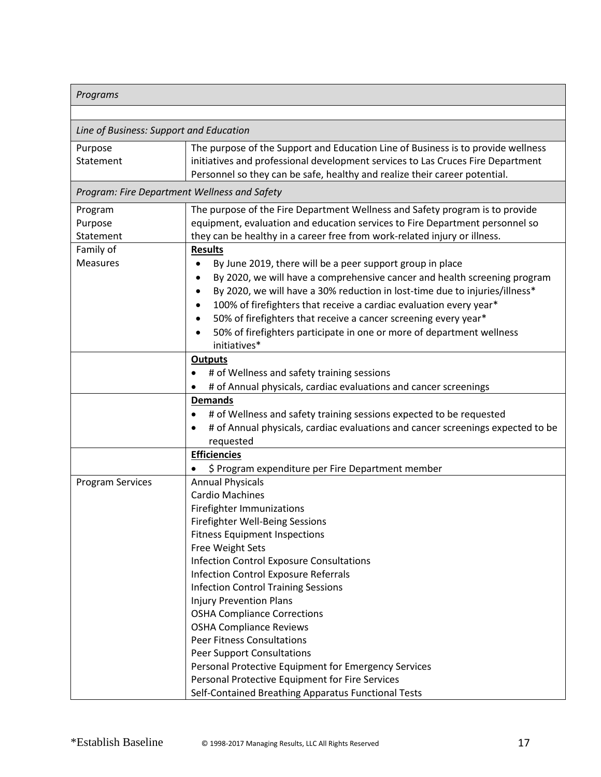| Programs                                     |                                                                                                                                                                                                                                                                                                                                                                                                                                                                                                                                                                                                                                                                                                                                          |
|----------------------------------------------|------------------------------------------------------------------------------------------------------------------------------------------------------------------------------------------------------------------------------------------------------------------------------------------------------------------------------------------------------------------------------------------------------------------------------------------------------------------------------------------------------------------------------------------------------------------------------------------------------------------------------------------------------------------------------------------------------------------------------------------|
|                                              |                                                                                                                                                                                                                                                                                                                                                                                                                                                                                                                                                                                                                                                                                                                                          |
| Line of Business: Support and Education      |                                                                                                                                                                                                                                                                                                                                                                                                                                                                                                                                                                                                                                                                                                                                          |
| Purpose<br>Statement                         | The purpose of the Support and Education Line of Business is to provide wellness<br>initiatives and professional development services to Las Cruces Fire Department<br>Personnel so they can be safe, healthy and realize their career potential.                                                                                                                                                                                                                                                                                                                                                                                                                                                                                        |
| Program: Fire Department Wellness and Safety |                                                                                                                                                                                                                                                                                                                                                                                                                                                                                                                                                                                                                                                                                                                                          |
| Program<br>Purpose<br>Statement              | The purpose of the Fire Department Wellness and Safety program is to provide<br>equipment, evaluation and education services to Fire Department personnel so<br>they can be healthy in a career free from work-related injury or illness.                                                                                                                                                                                                                                                                                                                                                                                                                                                                                                |
| Family of<br><b>Measures</b>                 | <b>Results</b><br>By June 2019, there will be a peer support group in place<br>By 2020, we will have a comprehensive cancer and health screening program<br>٠<br>By 2020, we will have a 30% reduction in lost-time due to injuries/illness*<br>$\bullet$<br>100% of firefighters that receive a cardiac evaluation every year*<br>$\bullet$<br>50% of firefighters that receive a cancer screening every year*<br>$\bullet$<br>50% of firefighters participate in one or more of department wellness<br>$\bullet$<br>initiatives*                                                                                                                                                                                                       |
|                                              | <b>Outputs</b><br># of Wellness and safety training sessions<br>$\bullet$<br># of Annual physicals, cardiac evaluations and cancer screenings                                                                                                                                                                                                                                                                                                                                                                                                                                                                                                                                                                                            |
|                                              | <b>Demands</b><br># of Wellness and safety training sessions expected to be requested<br>$\bullet$<br># of Annual physicals, cardiac evaluations and cancer screenings expected to be<br>requested                                                                                                                                                                                                                                                                                                                                                                                                                                                                                                                                       |
|                                              | <b>Efficiencies</b>                                                                                                                                                                                                                                                                                                                                                                                                                                                                                                                                                                                                                                                                                                                      |
| Program Services                             | \$ Program expenditure per Fire Department member<br><b>Annual Physicals</b><br><b>Cardio Machines</b><br>Firefighter Immunizations<br>Firefighter Well-Being Sessions<br><b>Fitness Equipment Inspections</b><br>Free Weight Sets<br><b>Infection Control Exposure Consultations</b><br><b>Infection Control Exposure Referrals</b><br><b>Infection Control Training Sessions</b><br><b>Injury Prevention Plans</b><br><b>OSHA Compliance Corrections</b><br><b>OSHA Compliance Reviews</b><br><b>Peer Fitness Consultations</b><br><b>Peer Support Consultations</b><br>Personal Protective Equipment for Emergency Services<br>Personal Protective Equipment for Fire Services<br>Self-Contained Breathing Apparatus Functional Tests |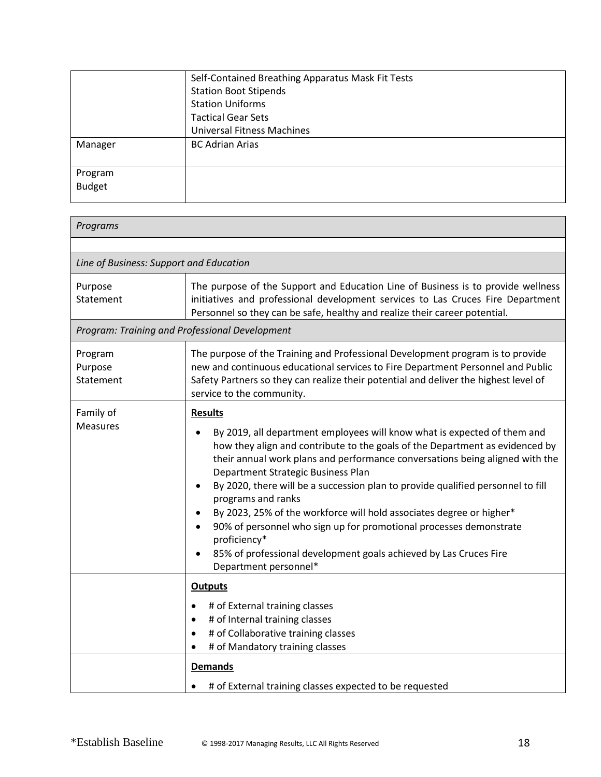|               | Self-Contained Breathing Apparatus Mask Fit Tests |
|---------------|---------------------------------------------------|
|               | <b>Station Boot Stipends</b>                      |
|               | <b>Station Uniforms</b>                           |
|               | <b>Tactical Gear Sets</b>                         |
|               | <b>Universal Fitness Machines</b>                 |
| Manager       | <b>BC Adrian Arias</b>                            |
|               |                                                   |
| Program       |                                                   |
| <b>Budget</b> |                                                   |
|               |                                                   |

| Programs                                |                                                                                                                                                                                                                                                                                                                                                                                                                                                                                                                                                                                                                                                                                                      |
|-----------------------------------------|------------------------------------------------------------------------------------------------------------------------------------------------------------------------------------------------------------------------------------------------------------------------------------------------------------------------------------------------------------------------------------------------------------------------------------------------------------------------------------------------------------------------------------------------------------------------------------------------------------------------------------------------------------------------------------------------------|
|                                         |                                                                                                                                                                                                                                                                                                                                                                                                                                                                                                                                                                                                                                                                                                      |
| Line of Business: Support and Education |                                                                                                                                                                                                                                                                                                                                                                                                                                                                                                                                                                                                                                                                                                      |
| Purpose<br>Statement                    | The purpose of the Support and Education Line of Business is to provide wellness<br>initiatives and professional development services to Las Cruces Fire Department<br>Personnel so they can be safe, healthy and realize their career potential.                                                                                                                                                                                                                                                                                                                                                                                                                                                    |
|                                         | Program: Training and Professional Development                                                                                                                                                                                                                                                                                                                                                                                                                                                                                                                                                                                                                                                       |
| Program<br>Purpose<br>Statement         | The purpose of the Training and Professional Development program is to provide<br>new and continuous educational services to Fire Department Personnel and Public<br>Safety Partners so they can realize their potential and deliver the highest level of<br>service to the community.                                                                                                                                                                                                                                                                                                                                                                                                               |
| Family of<br><b>Measures</b>            | <b>Results</b><br>By 2019, all department employees will know what is expected of them and<br>how they align and contribute to the goals of the Department as evidenced by<br>their annual work plans and performance conversations being aligned with the<br>Department Strategic Business Plan<br>By 2020, there will be a succession plan to provide qualified personnel to fill<br>$\bullet$<br>programs and ranks<br>By 2023, 25% of the workforce will hold associates degree or higher*<br>٠<br>90% of personnel who sign up for promotional processes demonstrate<br>$\bullet$<br>proficiency*<br>85% of professional development goals achieved by Las Cruces Fire<br>Department personnel* |
|                                         | <b>Outputs</b><br># of External training classes<br># of Internal training classes<br>$\bullet$<br># of Collaborative training classes<br>$\bullet$<br># of Mandatory training classes<br><b>Demands</b><br># of External training classes expected to be requested                                                                                                                                                                                                                                                                                                                                                                                                                                  |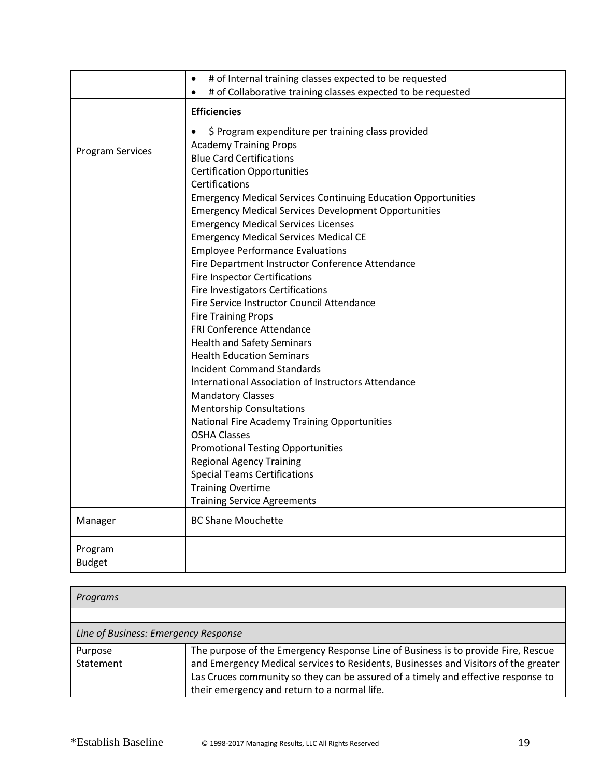|                         | # of Internal training classes expected to be requested<br>$\bullet$      |
|-------------------------|---------------------------------------------------------------------------|
|                         | # of Collaborative training classes expected to be requested<br>$\bullet$ |
|                         |                                                                           |
|                         | <b>Efficiencies</b>                                                       |
|                         | \$ Program expenditure per training class provided                        |
|                         | <b>Academy Training Props</b>                                             |
| <b>Program Services</b> | <b>Blue Card Certifications</b>                                           |
|                         | <b>Certification Opportunities</b>                                        |
|                         | Certifications                                                            |
|                         | <b>Emergency Medical Services Continuing Education Opportunities</b>      |
|                         | <b>Emergency Medical Services Development Opportunities</b>               |
|                         | <b>Emergency Medical Services Licenses</b>                                |
|                         | <b>Emergency Medical Services Medical CE</b>                              |
|                         | <b>Employee Performance Evaluations</b>                                   |
|                         | Fire Department Instructor Conference Attendance                          |
|                         | <b>Fire Inspector Certifications</b>                                      |
|                         | Fire Investigators Certifications                                         |
|                         | Fire Service Instructor Council Attendance                                |
|                         | <b>Fire Training Props</b>                                                |
|                         | FRI Conference Attendance                                                 |
|                         | <b>Health and Safety Seminars</b>                                         |
|                         | <b>Health Education Seminars</b>                                          |
|                         | <b>Incident Command Standards</b>                                         |
|                         | International Association of Instructors Attendance                       |
|                         | <b>Mandatory Classes</b>                                                  |
|                         | <b>Mentorship Consultations</b>                                           |
|                         | National Fire Academy Training Opportunities                              |
|                         | <b>OSHA Classes</b>                                                       |
|                         | <b>Promotional Testing Opportunities</b>                                  |
|                         | <b>Regional Agency Training</b>                                           |
|                         | <b>Special Teams Certifications</b>                                       |
|                         | <b>Training Overtime</b>                                                  |
|                         |                                                                           |
|                         | <b>Training Service Agreements</b>                                        |
| Manager                 | <b>BC Shane Mouchette</b>                                                 |
| Program                 |                                                                           |
| <b>Budget</b>           |                                                                           |
|                         |                                                                           |

| Programs                             |                                                                                                                                                                                                                                                                                                               |
|--------------------------------------|---------------------------------------------------------------------------------------------------------------------------------------------------------------------------------------------------------------------------------------------------------------------------------------------------------------|
|                                      |                                                                                                                                                                                                                                                                                                               |
| Line of Business: Emergency Response |                                                                                                                                                                                                                                                                                                               |
| Purpose<br>Statement                 | The purpose of the Emergency Response Line of Business is to provide Fire, Rescue<br>and Emergency Medical services to Residents, Businesses and Visitors of the greater<br>Las Cruces community so they can be assured of a timely and effective response to<br>their emergency and return to a normal life. |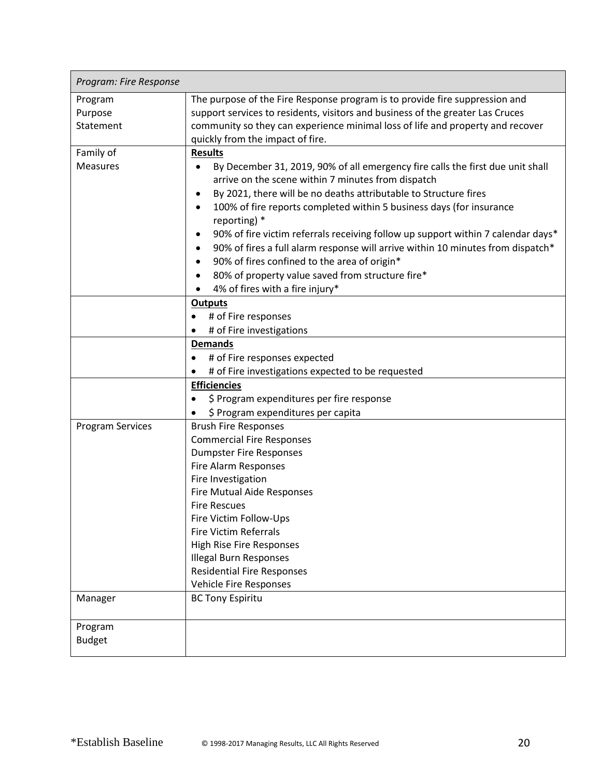| Program: Fire Response  |                                                                                              |
|-------------------------|----------------------------------------------------------------------------------------------|
| Program                 | The purpose of the Fire Response program is to provide fire suppression and                  |
| Purpose                 | support services to residents, visitors and business of the greater Las Cruces               |
| Statement               | community so they can experience minimal loss of life and property and recover               |
|                         | quickly from the impact of fire.                                                             |
| Family of               | <b>Results</b>                                                                               |
| Measures                | By December 31, 2019, 90% of all emergency fire calls the first due unit shall               |
|                         | arrive on the scene within 7 minutes from dispatch                                           |
|                         | By 2021, there will be no deaths attributable to Structure fires<br>$\bullet$                |
|                         | 100% of fire reports completed within 5 business days (for insurance<br>$\bullet$            |
|                         | reporting) *                                                                                 |
|                         | 90% of fire victim referrals receiving follow up support within 7 calendar days*<br>٠        |
|                         | 90% of fires a full alarm response will arrive within 10 minutes from dispatch*<br>$\bullet$ |
|                         | 90% of fires confined to the area of origin*<br>$\bullet$                                    |
|                         | 80% of property value saved from structure fire*<br>٠                                        |
|                         | 4% of fires with a fire injury*                                                              |
|                         | <b>Outputs</b>                                                                               |
|                         | # of Fire responses<br>$\bullet$                                                             |
|                         | # of Fire investigations                                                                     |
|                         | <b>Demands</b>                                                                               |
|                         | # of Fire responses expected<br>$\bullet$                                                    |
|                         | # of Fire investigations expected to be requested                                            |
|                         | <b>Efficiencies</b>                                                                          |
|                         | \$ Program expenditures per fire response<br>$\bullet$                                       |
|                         | \$ Program expenditures per capita                                                           |
| <b>Program Services</b> | <b>Brush Fire Responses</b>                                                                  |
|                         | <b>Commercial Fire Responses</b>                                                             |
|                         | <b>Dumpster Fire Responses</b>                                                               |
|                         | Fire Alarm Responses                                                                         |
|                         | Fire Investigation                                                                           |
|                         | Fire Mutual Aide Responses                                                                   |
|                         | <b>Fire Rescues</b>                                                                          |
|                         | Fire Victim Follow-Ups                                                                       |
|                         | <b>Fire Victim Referrals</b>                                                                 |
|                         | <b>High Rise Fire Responses</b>                                                              |
|                         | <b>Illegal Burn Responses</b>                                                                |
|                         | <b>Residential Fire Responses</b>                                                            |
|                         | Vehicle Fire Responses                                                                       |
| Manager                 | <b>BC Tony Espiritu</b>                                                                      |
| Program                 |                                                                                              |
| <b>Budget</b>           |                                                                                              |
|                         |                                                                                              |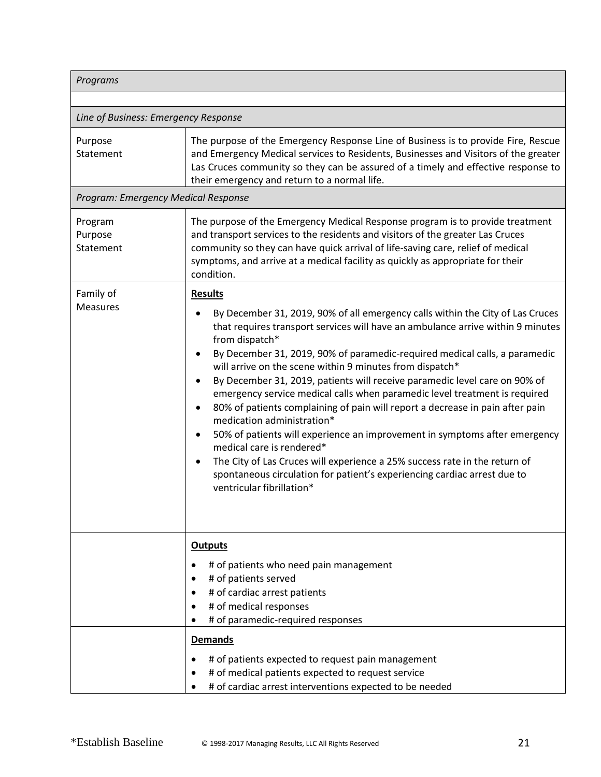| Programs                             |                                                                                                                                                                                                                                                                                                                                                                                                                                                                                                                                                                                                                                                                                                                                                                                                                                                                                                                         |
|--------------------------------------|-------------------------------------------------------------------------------------------------------------------------------------------------------------------------------------------------------------------------------------------------------------------------------------------------------------------------------------------------------------------------------------------------------------------------------------------------------------------------------------------------------------------------------------------------------------------------------------------------------------------------------------------------------------------------------------------------------------------------------------------------------------------------------------------------------------------------------------------------------------------------------------------------------------------------|
|                                      |                                                                                                                                                                                                                                                                                                                                                                                                                                                                                                                                                                                                                                                                                                                                                                                                                                                                                                                         |
| Line of Business: Emergency Response |                                                                                                                                                                                                                                                                                                                                                                                                                                                                                                                                                                                                                                                                                                                                                                                                                                                                                                                         |
| Purpose<br>Statement                 | The purpose of the Emergency Response Line of Business is to provide Fire, Rescue<br>and Emergency Medical services to Residents, Businesses and Visitors of the greater<br>Las Cruces community so they can be assured of a timely and effective response to<br>their emergency and return to a normal life.                                                                                                                                                                                                                                                                                                                                                                                                                                                                                                                                                                                                           |
| Program: Emergency Medical Response  |                                                                                                                                                                                                                                                                                                                                                                                                                                                                                                                                                                                                                                                                                                                                                                                                                                                                                                                         |
| Program<br>Purpose<br>Statement      | The purpose of the Emergency Medical Response program is to provide treatment<br>and transport services to the residents and visitors of the greater Las Cruces<br>community so they can have quick arrival of life-saving care, relief of medical<br>symptoms, and arrive at a medical facility as quickly as appropriate for their<br>condition.                                                                                                                                                                                                                                                                                                                                                                                                                                                                                                                                                                      |
| Family of                            | <b>Results</b>                                                                                                                                                                                                                                                                                                                                                                                                                                                                                                                                                                                                                                                                                                                                                                                                                                                                                                          |
| <b>Measures</b>                      | By December 31, 2019, 90% of all emergency calls within the City of Las Cruces<br>that requires transport services will have an ambulance arrive within 9 minutes<br>from dispatch*<br>By December 31, 2019, 90% of paramedic-required medical calls, a paramedic<br>will arrive on the scene within 9 minutes from dispatch*<br>By December 31, 2019, patients will receive paramedic level care on 90% of<br>emergency service medical calls when paramedic level treatment is required<br>80% of patients complaining of pain will report a decrease in pain after pain<br>$\bullet$<br>medication administration*<br>50% of patients will experience an improvement in symptoms after emergency<br>medical care is rendered*<br>The City of Las Cruces will experience a 25% success rate in the return of<br>spontaneous circulation for patient's experiencing cardiac arrest due to<br>ventricular fibrillation* |
|                                      | <b>Outputs</b><br># of patients who need pain management                                                                                                                                                                                                                                                                                                                                                                                                                                                                                                                                                                                                                                                                                                                                                                                                                                                                |
|                                      | # of patients served<br># of cardiac arrest patients<br># of medical responses<br># of paramedic-required responses                                                                                                                                                                                                                                                                                                                                                                                                                                                                                                                                                                                                                                                                                                                                                                                                     |
|                                      | <b>Demands</b><br># of patients expected to request pain management<br># of medical patients expected to request service<br># of cardiac arrest interventions expected to be needed                                                                                                                                                                                                                                                                                                                                                                                                                                                                                                                                                                                                                                                                                                                                     |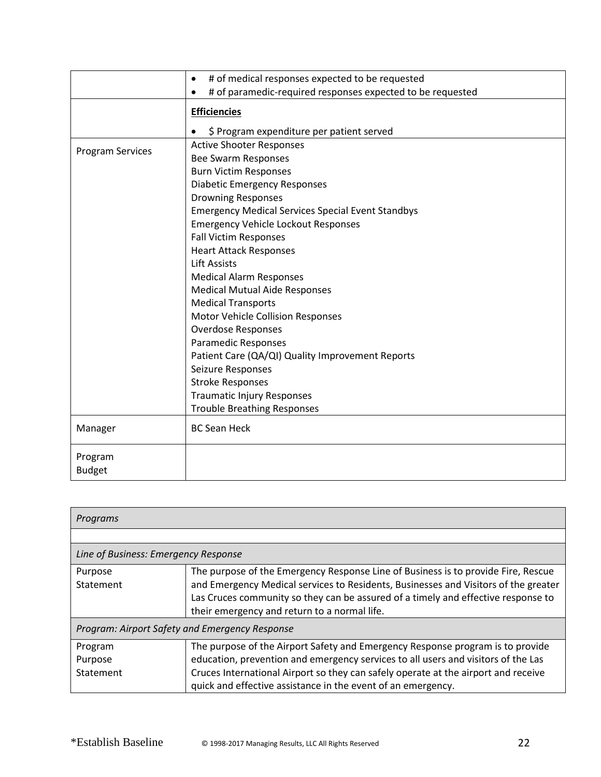|                          | # of medical responses expected to be requested<br>$\bullet$ |
|--------------------------|--------------------------------------------------------------|
|                          | # of paramedic-required responses expected to be requested   |
|                          | <b>Efficiencies</b>                                          |
|                          | \$ Program expenditure per patient served                    |
| <b>Program Services</b>  | <b>Active Shooter Responses</b>                              |
|                          | <b>Bee Swarm Responses</b>                                   |
|                          | <b>Burn Victim Responses</b>                                 |
|                          | <b>Diabetic Emergency Responses</b>                          |
|                          | <b>Drowning Responses</b>                                    |
|                          | <b>Emergency Medical Services Special Event Standbys</b>     |
|                          | <b>Emergency Vehicle Lockout Responses</b>                   |
|                          | <b>Fall Victim Responses</b>                                 |
|                          | <b>Heart Attack Responses</b>                                |
|                          | <b>Lift Assists</b>                                          |
|                          | <b>Medical Alarm Responses</b>                               |
|                          | <b>Medical Mutual Aide Responses</b>                         |
|                          | <b>Medical Transports</b>                                    |
|                          | Motor Vehicle Collision Responses                            |
|                          | <b>Overdose Responses</b>                                    |
|                          | Paramedic Responses                                          |
|                          | Patient Care (QA/QI) Quality Improvement Reports             |
|                          | Seizure Responses                                            |
|                          | <b>Stroke Responses</b>                                      |
|                          | <b>Traumatic Injury Responses</b>                            |
|                          | <b>Trouble Breathing Responses</b>                           |
| Manager                  | <b>BC Sean Heck</b>                                          |
| Program<br><b>Budget</b> |                                                              |
|                          |                                                              |

| Programs                                       |                                                                                                                                                                                                                                                                                                                           |  |
|------------------------------------------------|---------------------------------------------------------------------------------------------------------------------------------------------------------------------------------------------------------------------------------------------------------------------------------------------------------------------------|--|
|                                                |                                                                                                                                                                                                                                                                                                                           |  |
| Line of Business: Emergency Response           |                                                                                                                                                                                                                                                                                                                           |  |
| Purpose<br>Statement                           | The purpose of the Emergency Response Line of Business is to provide Fire, Rescue<br>and Emergency Medical services to Residents, Businesses and Visitors of the greater<br>Las Cruces community so they can be assured of a timely and effective response to<br>their emergency and return to a normal life.             |  |
| Program: Airport Safety and Emergency Response |                                                                                                                                                                                                                                                                                                                           |  |
| Program<br>Purpose<br>Statement                | The purpose of the Airport Safety and Emergency Response program is to provide<br>education, prevention and emergency services to all users and visitors of the Las<br>Cruces International Airport so they can safely operate at the airport and receive<br>quick and effective assistance in the event of an emergency. |  |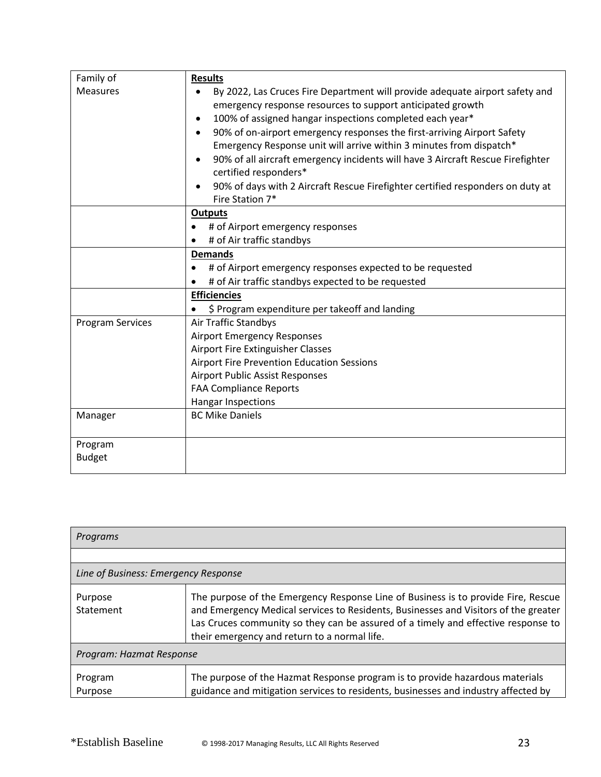| Family of        | <b>Results</b>                                                                                           |
|------------------|----------------------------------------------------------------------------------------------------------|
| <b>Measures</b>  | By 2022, Las Cruces Fire Department will provide adequate airport safety and                             |
|                  | emergency response resources to support anticipated growth                                               |
|                  | 100% of assigned hangar inspections completed each year*                                                 |
|                  | 90% of on-airport emergency responses the first-arriving Airport Safety                                  |
|                  | Emergency Response unit will arrive within 3 minutes from dispatch*                                      |
|                  | 90% of all aircraft emergency incidents will have 3 Aircraft Rescue Firefighter<br>certified responders* |
|                  | 90% of days with 2 Aircraft Rescue Firefighter certified responders on duty at<br>Fire Station 7*        |
|                  | <b>Outputs</b>                                                                                           |
|                  | # of Airport emergency responses                                                                         |
|                  | # of Air traffic standbys                                                                                |
|                  | <b>Demands</b>                                                                                           |
|                  | # of Airport emergency responses expected to be requested                                                |
|                  | # of Air traffic standbys expected to be requested                                                       |
|                  | <b>Efficiencies</b>                                                                                      |
|                  | \$ Program expenditure per takeoff and landing                                                           |
| Program Services | <b>Air Traffic Standbys</b>                                                                              |
|                  | <b>Airport Emergency Responses</b>                                                                       |
|                  | Airport Fire Extinguisher Classes                                                                        |
|                  | <b>Airport Fire Prevention Education Sessions</b>                                                        |
|                  | <b>Airport Public Assist Responses</b>                                                                   |
|                  | <b>FAA Compliance Reports</b>                                                                            |
|                  | <b>Hangar Inspections</b>                                                                                |
| Manager          | <b>BC Mike Daniels</b>                                                                                   |
| Program          |                                                                                                          |
| <b>Budget</b>    |                                                                                                          |

| Programs                             |                                                                                                                                                                                                                                                                                                               |  |
|--------------------------------------|---------------------------------------------------------------------------------------------------------------------------------------------------------------------------------------------------------------------------------------------------------------------------------------------------------------|--|
|                                      |                                                                                                                                                                                                                                                                                                               |  |
| Line of Business: Emergency Response |                                                                                                                                                                                                                                                                                                               |  |
| Purpose<br>Statement                 | The purpose of the Emergency Response Line of Business is to provide Fire, Rescue<br>and Emergency Medical services to Residents, Businesses and Visitors of the greater<br>Las Cruces community so they can be assured of a timely and effective response to<br>their emergency and return to a normal life. |  |
| Program: Hazmat Response             |                                                                                                                                                                                                                                                                                                               |  |
| Program<br>Purpose                   | The purpose of the Hazmat Response program is to provide hazardous materials<br>guidance and mitigation services to residents, businesses and industry affected by                                                                                                                                            |  |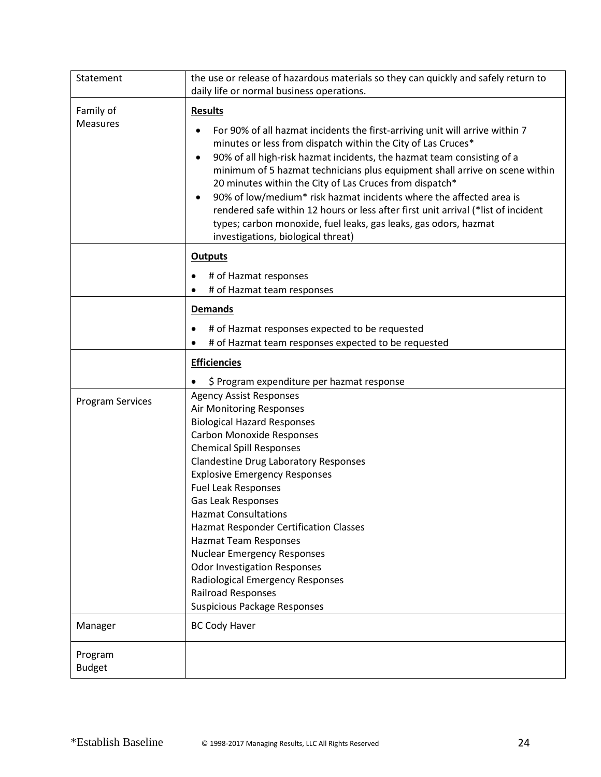| Statement                    | the use or release of hazardous materials so they can quickly and safely return to<br>daily life or normal business operations.                                                                                                                                                                                                                                                                                                                                                                                                                                                                                                                               |
|------------------------------|---------------------------------------------------------------------------------------------------------------------------------------------------------------------------------------------------------------------------------------------------------------------------------------------------------------------------------------------------------------------------------------------------------------------------------------------------------------------------------------------------------------------------------------------------------------------------------------------------------------------------------------------------------------|
| Family of<br><b>Measures</b> | <b>Results</b><br>For 90% of all hazmat incidents the first-arriving unit will arrive within 7<br>minutes or less from dispatch within the City of Las Cruces*<br>90% of all high-risk hazmat incidents, the hazmat team consisting of a<br>٠<br>minimum of 5 hazmat technicians plus equipment shall arrive on scene within<br>20 minutes within the City of Las Cruces from dispatch*<br>90% of low/medium* risk hazmat incidents where the affected area is<br>rendered safe within 12 hours or less after first unit arrival (*list of incident<br>types; carbon monoxide, fuel leaks, gas leaks, gas odors, hazmat<br>investigations, biological threat) |
|                              | <b>Outputs</b><br># of Hazmat responses<br>$\bullet$<br># of Hazmat team responses<br>$\bullet$                                                                                                                                                                                                                                                                                                                                                                                                                                                                                                                                                               |
|                              | <b>Demands</b><br># of Hazmat responses expected to be requested<br># of Hazmat team responses expected to be requested                                                                                                                                                                                                                                                                                                                                                                                                                                                                                                                                       |
|                              | <b>Efficiencies</b><br>\$ Program expenditure per hazmat response                                                                                                                                                                                                                                                                                                                                                                                                                                                                                                                                                                                             |
| <b>Program Services</b>      | <b>Agency Assist Responses</b><br>Air Monitoring Responses<br><b>Biological Hazard Responses</b><br><b>Carbon Monoxide Responses</b><br><b>Chemical Spill Responses</b><br><b>Clandestine Drug Laboratory Responses</b><br><b>Explosive Emergency Responses</b><br><b>Fuel Leak Responses</b><br><b>Gas Leak Responses</b><br><b>Hazmat Consultations</b><br><b>Hazmat Responder Certification Classes</b><br><b>Hazmat Team Responses</b><br><b>Nuclear Emergency Responses</b><br><b>Odor Investigation Responses</b><br>Radiological Emergency Responses<br>Railroad Responses<br><b>Suspicious Package Responses</b>                                      |
| Manager                      | <b>BC Cody Haver</b>                                                                                                                                                                                                                                                                                                                                                                                                                                                                                                                                                                                                                                          |
| Program<br><b>Budget</b>     |                                                                                                                                                                                                                                                                                                                                                                                                                                                                                                                                                                                                                                                               |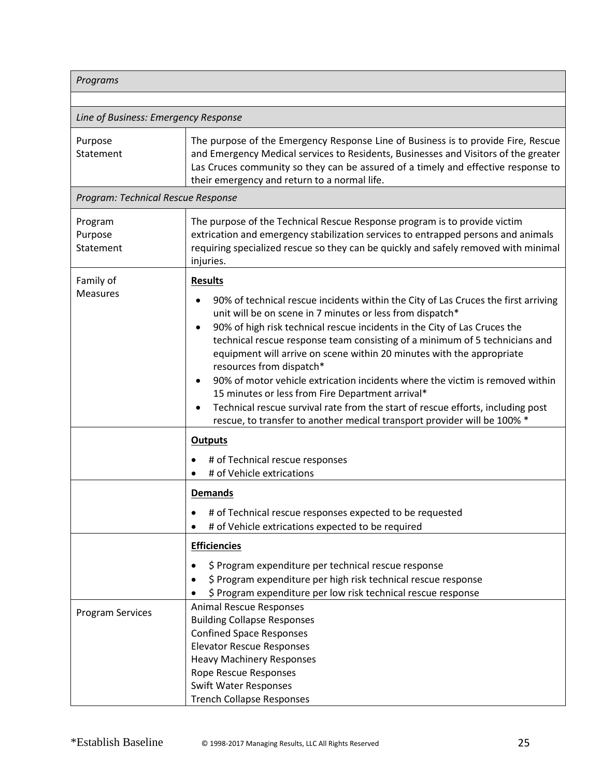| Programs                             |                                                                                                                                                                                                                                                                                                                                                                                                                                                                                                                                                                                                                                                                                                                                        |  |
|--------------------------------------|----------------------------------------------------------------------------------------------------------------------------------------------------------------------------------------------------------------------------------------------------------------------------------------------------------------------------------------------------------------------------------------------------------------------------------------------------------------------------------------------------------------------------------------------------------------------------------------------------------------------------------------------------------------------------------------------------------------------------------------|--|
|                                      |                                                                                                                                                                                                                                                                                                                                                                                                                                                                                                                                                                                                                                                                                                                                        |  |
| Line of Business: Emergency Response |                                                                                                                                                                                                                                                                                                                                                                                                                                                                                                                                                                                                                                                                                                                                        |  |
| Purpose<br>Statement                 | The purpose of the Emergency Response Line of Business is to provide Fire, Rescue<br>and Emergency Medical services to Residents, Businesses and Visitors of the greater<br>Las Cruces community so they can be assured of a timely and effective response to<br>their emergency and return to a normal life.                                                                                                                                                                                                                                                                                                                                                                                                                          |  |
| Program: Technical Rescue Response   |                                                                                                                                                                                                                                                                                                                                                                                                                                                                                                                                                                                                                                                                                                                                        |  |
| Program<br>Purpose<br>Statement      | The purpose of the Technical Rescue Response program is to provide victim<br>extrication and emergency stabilization services to entrapped persons and animals<br>requiring specialized rescue so they can be quickly and safely removed with minimal<br>injuries.                                                                                                                                                                                                                                                                                                                                                                                                                                                                     |  |
| Family of<br><b>Measures</b>         | <b>Results</b><br>90% of technical rescue incidents within the City of Las Cruces the first arriving<br>unit will be on scene in 7 minutes or less from dispatch*<br>90% of high risk technical rescue incidents in the City of Las Cruces the<br>technical rescue response team consisting of a minimum of 5 technicians and<br>equipment will arrive on scene within 20 minutes with the appropriate<br>resources from dispatch*<br>90% of motor vehicle extrication incidents where the victim is removed within<br>15 minutes or less from Fire Department arrival*<br>Technical rescue survival rate from the start of rescue efforts, including post<br>rescue, to transfer to another medical transport provider will be 100% * |  |
|                                      | <b>Outputs</b><br># of Technical rescue responses<br># of Vehicle extrications                                                                                                                                                                                                                                                                                                                                                                                                                                                                                                                                                                                                                                                         |  |
|                                      | <b>Demands</b><br># of Technical rescue responses expected to be requested<br># of Vehicle extrications expected to be required<br><b>Efficiencies</b><br>\$ Program expenditure per technical rescue response                                                                                                                                                                                                                                                                                                                                                                                                                                                                                                                         |  |
| <b>Program Services</b>              | \$ Program expenditure per high risk technical rescue response<br>\$ Program expenditure per low risk technical rescue response<br><b>Animal Rescue Responses</b><br><b>Building Collapse Responses</b><br><b>Confined Space Responses</b><br><b>Elevator Rescue Responses</b><br><b>Heavy Machinery Responses</b><br>Rope Rescue Responses                                                                                                                                                                                                                                                                                                                                                                                            |  |
|                                      | <b>Swift Water Responses</b><br><b>Trench Collapse Responses</b>                                                                                                                                                                                                                                                                                                                                                                                                                                                                                                                                                                                                                                                                       |  |